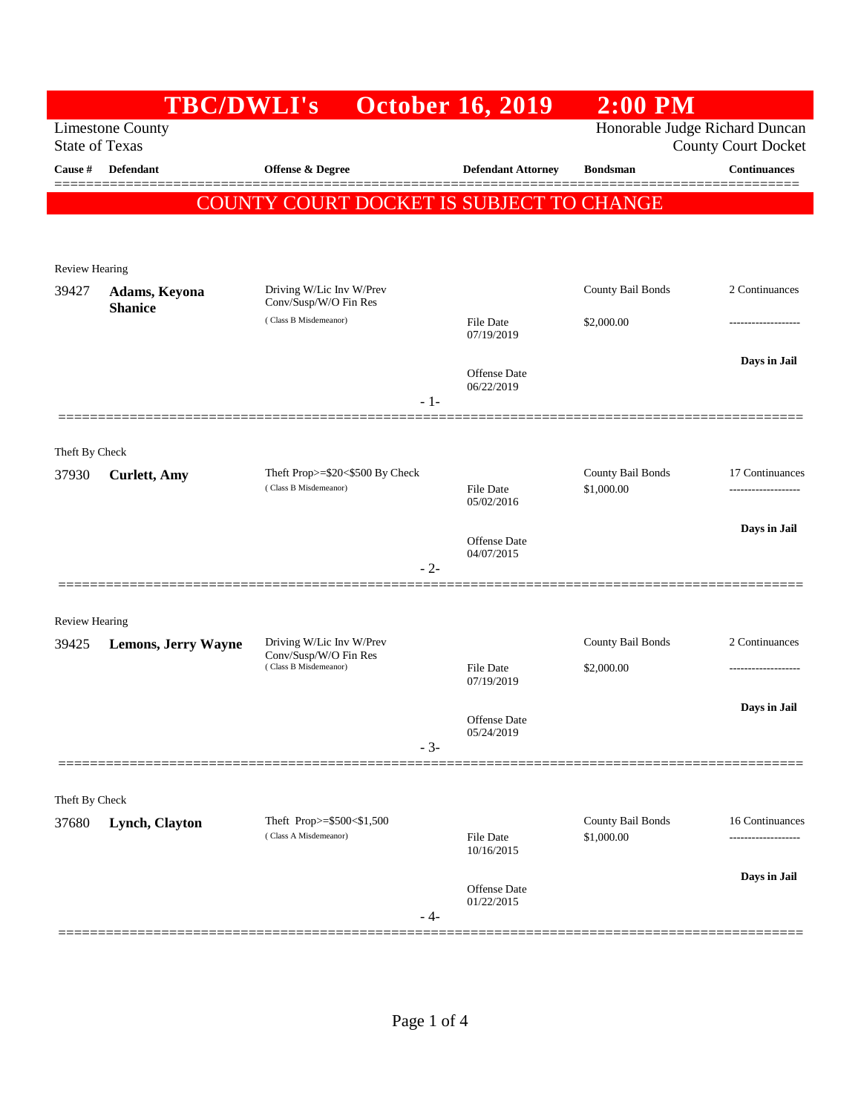|                                                                                                                  | <b>TBC/DWLI's</b>               |                                                          | <b>October 16, 2019</b>        | $2:00$ PM                       |                     |  |
|------------------------------------------------------------------------------------------------------------------|---------------------------------|----------------------------------------------------------|--------------------------------|---------------------------------|---------------------|--|
| Honorable Judge Richard Duncan<br><b>Limestone County</b><br><b>State of Texas</b><br><b>County Court Docket</b> |                                 |                                                          |                                |                                 |                     |  |
| Cause #                                                                                                          | <b>Defendant</b>                | <b>Offense &amp; Degree</b>                              | <b>Defendant Attorney</b>      | <b>Bondsman</b>                 | <b>Continuances</b> |  |
|                                                                                                                  |                                 | COUNTY COURT DOCKET IS SUBJECT TO CHANGE                 |                                |                                 |                     |  |
|                                                                                                                  |                                 |                                                          |                                |                                 |                     |  |
| <b>Review Hearing</b>                                                                                            |                                 |                                                          |                                |                                 |                     |  |
| 39427                                                                                                            | Adams, Keyona<br><b>Shanice</b> | Driving W/Lic Inv W/Prev<br>Conv/Susp/W/O Fin Res        |                                | County Bail Bonds               | 2 Continuances      |  |
|                                                                                                                  |                                 | (Class B Misdemeanor)                                    | File Date<br>07/19/2019        | \$2,000.00                      | ------------------  |  |
|                                                                                                                  |                                 |                                                          |                                |                                 | Days in Jail        |  |
|                                                                                                                  |                                 | $-1-$                                                    | Offense Date<br>06/22/2019     |                                 |                     |  |
|                                                                                                                  |                                 |                                                          |                                |                                 |                     |  |
| Theft By Check                                                                                                   |                                 |                                                          |                                |                                 |                     |  |
| 37930                                                                                                            | <b>Curlett</b> , Amy            | Theft Prop>=\$20<\$500 By Check<br>(Class B Misdemeanor) | File Date                      | County Bail Bonds<br>\$1,000.00 | 17 Continuances     |  |
|                                                                                                                  |                                 |                                                          | 05/02/2016                     |                                 | Days in Jail        |  |
|                                                                                                                  |                                 |                                                          | Offense Date<br>04/07/2015     |                                 |                     |  |
|                                                                                                                  |                                 | $-2-$                                                    |                                |                                 |                     |  |
| <b>Review Hearing</b>                                                                                            |                                 |                                                          |                                |                                 |                     |  |
| 39425                                                                                                            | <b>Lemons, Jerry Wayne</b>      | Driving W/Lic Inv W/Prev<br>Conv/Susp/W/O Fin Res        |                                | County Bail Bonds               | 2 Continuances      |  |
|                                                                                                                  |                                 | (Class B Misdemeanor)                                    | <b>File Date</b><br>07/19/2019 | \$2,000.00                      |                     |  |
|                                                                                                                  |                                 |                                                          | Offense Date                   |                                 | Days in Jail        |  |
|                                                                                                                  |                                 | $-3-$                                                    | 05/24/2019                     |                                 |                     |  |
|                                                                                                                  |                                 |                                                          |                                |                                 |                     |  |
| Theft By Check                                                                                                   |                                 |                                                          |                                |                                 |                     |  |
| 37680                                                                                                            | Lynch, Clayton                  | Theft Prop>=\$500<\$1,500<br>(Class A Misdemeanor)       | File Date                      | County Bail Bonds<br>\$1,000.00 | 16 Continuances<br> |  |
|                                                                                                                  |                                 |                                                          | 10/16/2015                     |                                 | Days in Jail        |  |
|                                                                                                                  |                                 |                                                          | Offense Date<br>01/22/2015     |                                 |                     |  |
|                                                                                                                  |                                 | - 4-                                                     |                                |                                 | =============       |  |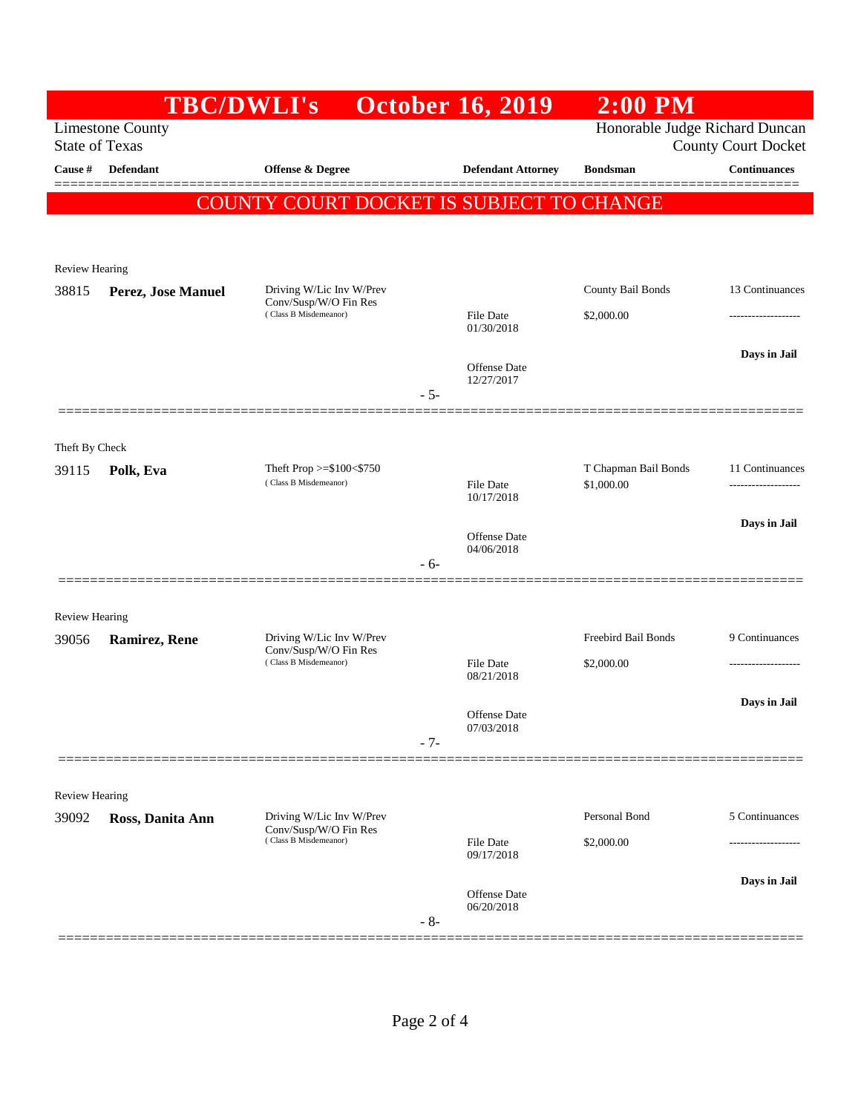|                                                                                                                  | <b>TBC/DWLI's</b>  |                                                                            | <b>October 16, 2019</b>           | $2:00$ PM                          |                                        |  |  |
|------------------------------------------------------------------------------------------------------------------|--------------------|----------------------------------------------------------------------------|-----------------------------------|------------------------------------|----------------------------------------|--|--|
| Honorable Judge Richard Duncan<br><b>Limestone County</b><br><b>State of Texas</b><br><b>County Court Docket</b> |                    |                                                                            |                                   |                                    |                                        |  |  |
| Cause #                                                                                                          | <b>Defendant</b>   | Offense & Degree                                                           | <b>Defendant Attorney</b>         | <b>Bondsman</b>                    | <b>Continuances</b>                    |  |  |
|                                                                                                                  |                    | COUNTY COURT DOCKET IS SUBJECT TO CHANGE                                   |                                   |                                    |                                        |  |  |
|                                                                                                                  |                    |                                                                            |                                   |                                    |                                        |  |  |
|                                                                                                                  |                    |                                                                            |                                   |                                    |                                        |  |  |
| Review Hearing<br>38815                                                                                          | Perez, Jose Manuel | Driving W/Lic Inv W/Prev                                                   |                                   | County Bail Bonds                  | 13 Continuances                        |  |  |
|                                                                                                                  |                    | Conv/Susp/W/O Fin Res<br>(Class B Misdemeanor)                             | <b>File Date</b>                  | \$2,000.00                         | ------------------                     |  |  |
|                                                                                                                  |                    |                                                                            | 01/30/2018                        |                                    |                                        |  |  |
|                                                                                                                  |                    |                                                                            | <b>Offense</b> Date               |                                    | Days in Jail                           |  |  |
|                                                                                                                  |                    |                                                                            | 12/27/2017<br>$-5-$               |                                    |                                        |  |  |
|                                                                                                                  |                    |                                                                            |                                   |                                    |                                        |  |  |
| Theft By Check                                                                                                   |                    |                                                                            |                                   |                                    |                                        |  |  |
| 39115                                                                                                            | Polk, Eva          | Theft Prop $>=\$100<\$750$<br>(Class B Misdemeanor)                        | File Date                         | T Chapman Bail Bonds<br>\$1,000.00 | 11 Continuances<br>------------------- |  |  |
|                                                                                                                  |                    |                                                                            | 10/17/2018                        |                                    |                                        |  |  |
|                                                                                                                  |                    |                                                                            | Offense Date                      |                                    | Days in Jail                           |  |  |
|                                                                                                                  |                    |                                                                            | 04/06/2018<br>$-6-$               |                                    |                                        |  |  |
|                                                                                                                  |                    |                                                                            |                                   |                                    |                                        |  |  |
| <b>Review Hearing</b>                                                                                            |                    |                                                                            |                                   |                                    |                                        |  |  |
| 39056                                                                                                            | Ramirez, Rene      | Driving W/Lic Inv W/Prev<br>Conv/Susp/W/O Fin Res<br>(Class B Misdemeanor) | File Date                         | Freebird Bail Bonds<br>\$2,000.00  | 9 Continuances<br>-------------------  |  |  |
|                                                                                                                  |                    |                                                                            | 08/21/2018                        |                                    |                                        |  |  |
|                                                                                                                  |                    |                                                                            | Offense Date                      |                                    | Days in Jail                           |  |  |
|                                                                                                                  |                    |                                                                            | 07/03/2018<br>$-7-$               |                                    |                                        |  |  |
|                                                                                                                  |                    |                                                                            |                                   |                                    |                                        |  |  |
| <b>Review Hearing</b>                                                                                            |                    |                                                                            |                                   |                                    |                                        |  |  |
| 39092                                                                                                            | Ross, Danita Ann   | Driving W/Lic Inv W/Prev<br>Conv/Susp/W/O Fin Res<br>(Class B Misdemeanor) |                                   | Personal Bond                      | 5 Continuances                         |  |  |
|                                                                                                                  |                    |                                                                            | <b>File Date</b><br>09/17/2018    | \$2,000.00                         |                                        |  |  |
|                                                                                                                  |                    |                                                                            |                                   |                                    | Days in Jail                           |  |  |
|                                                                                                                  |                    |                                                                            | <b>Offense</b> Date<br>06/20/2018 |                                    |                                        |  |  |
|                                                                                                                  |                    |                                                                            | $-8-$                             |                                    |                                        |  |  |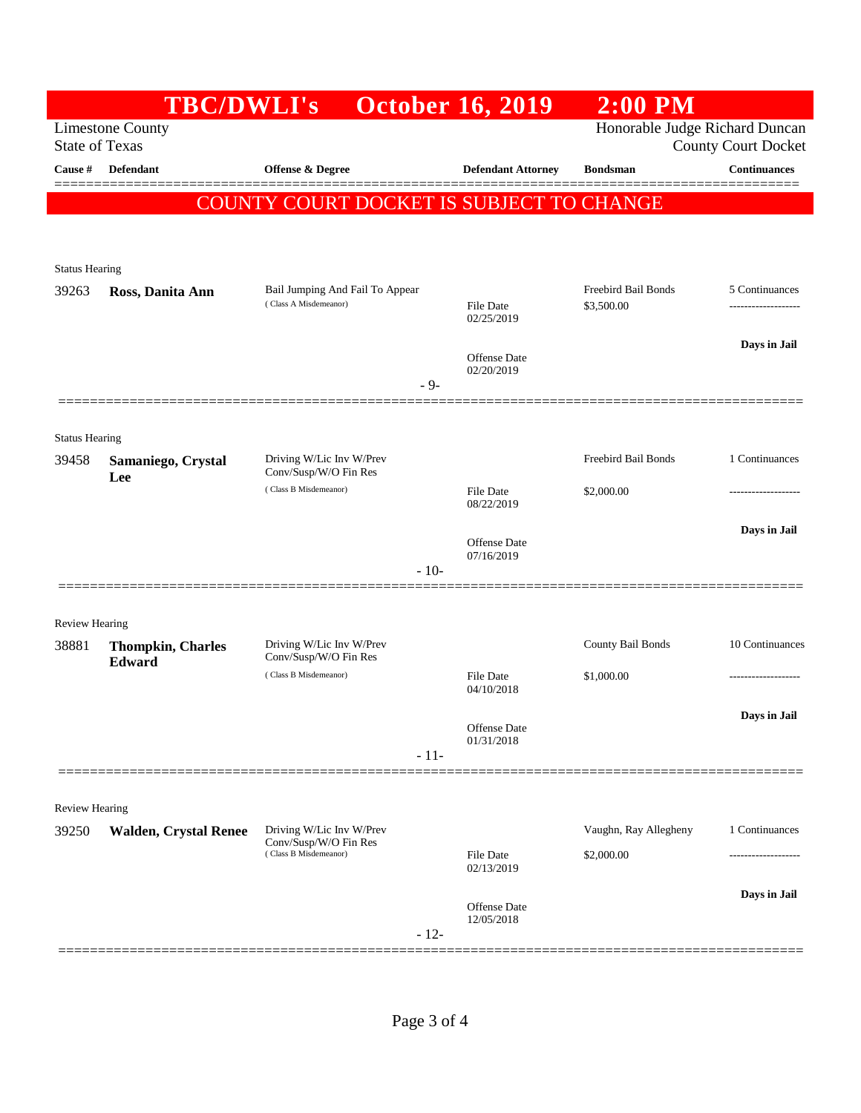|                                                  | <b>TBC/DWLI's</b>                  |                                                                            | <b>October 16, 2019</b>           | $2:00$ PM             |                                                              |
|--------------------------------------------------|------------------------------------|----------------------------------------------------------------------------|-----------------------------------|-----------------------|--------------------------------------------------------------|
| <b>Limestone County</b><br><b>State of Texas</b> |                                    |                                                                            |                                   |                       | Honorable Judge Richard Duncan<br><b>County Court Docket</b> |
| Cause #                                          | <b>Defendant</b>                   | Offense & Degree                                                           | <b>Defendant Attorney</b>         | <b>Bondsman</b>       | <b>Continuances</b>                                          |
|                                                  |                                    | COUNTY COURT DOCKET IS SUBJECT TO CHANGE                                   |                                   |                       | ——————                                                       |
|                                                  |                                    |                                                                            |                                   |                       |                                                              |
| <b>Status Hearing</b><br>39263                   | Ross, Danita Ann                   | Bail Jumping And Fail To Appear                                            |                                   | Freebird Bail Bonds   | 5 Continuances                                               |
|                                                  |                                    | (Class A Misdemeanor)                                                      | <b>File Date</b><br>02/25/2019    | \$3,500.00            | -------------------                                          |
|                                                  |                                    |                                                                            | <b>Offense Date</b>               |                       | Days in Jail                                                 |
|                                                  |                                    | $-9-$                                                                      | 02/20/2019                        |                       |                                                              |
| <b>Status Hearing</b>                            |                                    |                                                                            |                                   |                       |                                                              |
| 39458                                            | Samaniego, Crystal                 | Driving W/Lic Inv W/Prev                                                   |                                   | Freebird Bail Bonds   | 1 Continuances                                               |
|                                                  | Lee                                | Conv/Susp/W/O Fin Res<br>(Class B Misdemeanor)                             | <b>File Date</b><br>08/22/2019    | \$2,000.00            | ---------------                                              |
|                                                  |                                    |                                                                            |                                   |                       | Days in Jail                                                 |
|                                                  |                                    | $-10-$                                                                     | <b>Offense Date</b><br>07/16/2019 |                       |                                                              |
|                                                  |                                    |                                                                            |                                   |                       |                                                              |
| <b>Review Hearing</b>                            |                                    |                                                                            |                                   |                       |                                                              |
| 38881                                            | <b>Thompkin, Charles</b><br>Edward | Driving W/Lic Inv W/Prev<br>Conv/Susp/W/O Fin Res<br>(Class B Misdemeanor) |                                   | County Bail Bonds     | 10 Continuances                                              |
|                                                  |                                    |                                                                            | <b>File Date</b><br>04/10/2018    | \$1,000.00            | ---------------                                              |
|                                                  |                                    |                                                                            | Offense Date                      |                       | Days in Jail                                                 |
|                                                  |                                    | $-11-$                                                                     | 01/31/2018                        |                       |                                                              |
|                                                  |                                    |                                                                            |                                   |                       |                                                              |
| <b>Review Hearing</b><br>39250                   | <b>Walden, Crystal Renee</b>       | Driving W/Lic Inv W/Prev                                                   |                                   | Vaughn, Ray Allegheny | 1 Continuances                                               |
|                                                  |                                    | Conv/Susp/W/O Fin Res<br>(Class B Misdemeanor)                             | <b>File Date</b><br>02/13/2019    | \$2,000.00            |                                                              |
|                                                  |                                    |                                                                            |                                   |                       | Days in Jail                                                 |
|                                                  |                                    | $-12-$                                                                     | <b>Offense</b> Date<br>12/05/2018 |                       |                                                              |